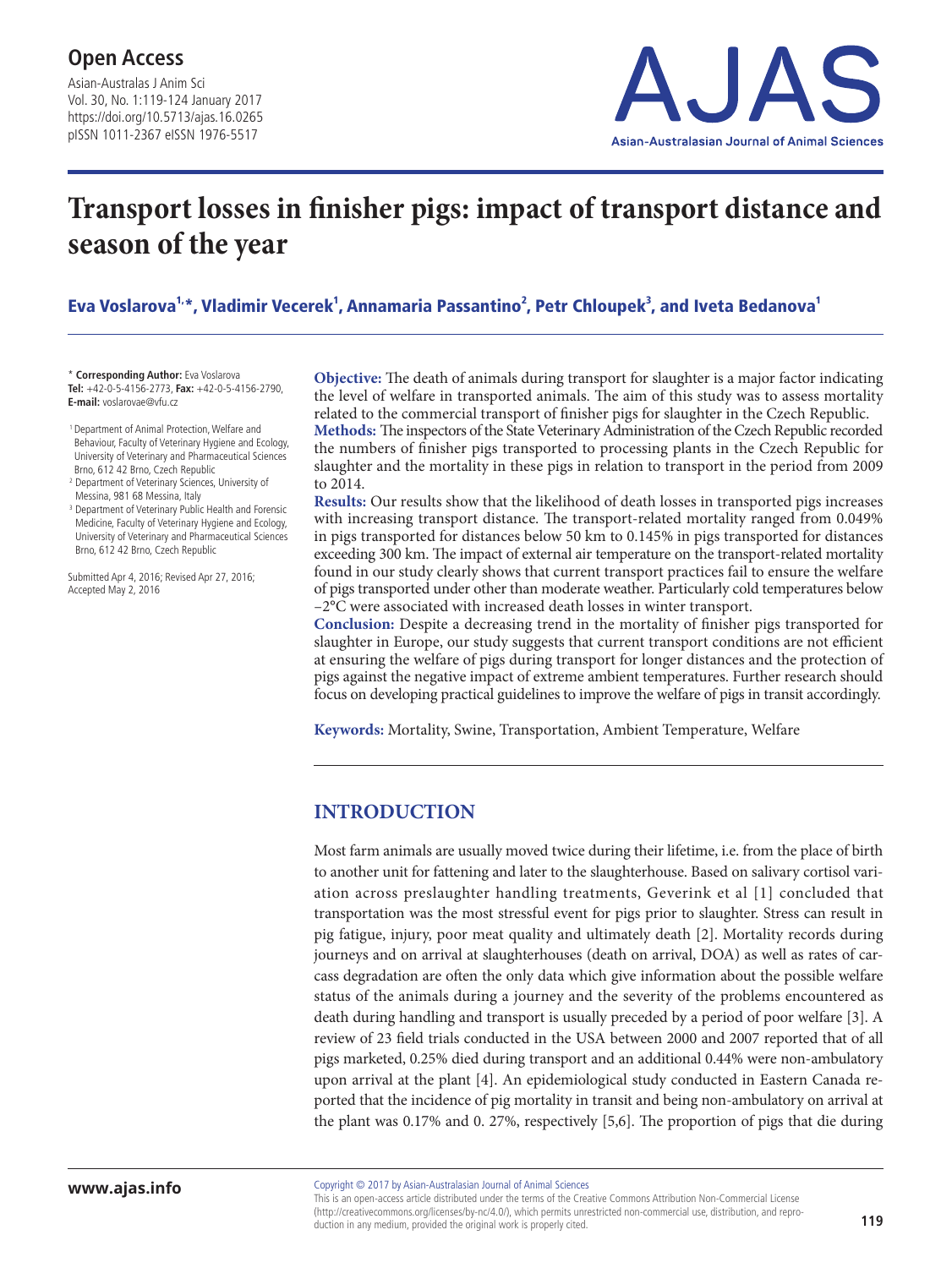Asian-Australas J Anim Sci Vol. 30, No. 1:119-124 January 2017 https://doi.org/10.5713/ajas.16.0265 pISSN 1011-2367 eISSN 1976-5517



# **Transport losses in finisher pigs: impact of transport distance and season of the year**

Eva Voslarova<sup>1,</sup>\*, Vladimir Vecerek<sup>1</sup>, Annamaria Passantino<sup>2</sup>, Petr Chloupek<sup>3</sup>, and Iveta Bedanova<sup>1</sup>

\* **Corresponding Author:** Eva Voslarova **Tel:** +42-0-5-4156-2773, **Fax:** +42-0-5-4156-2790, **E-mail:** voslarovae@vfu.cz

 1 Department of Animal Protection, Welfare and Behaviour, Faculty of Veterinary Hygiene and Ecology, University of Veterinary and Pharmaceutical Sciences Brno, 612 42 Brno, Czech Republic

<sup>2</sup> Department of Veterinary Sciences, University of Messina, 981 68 Messina, Italy

<sup>3</sup> Department of Veterinary Public Health and Forensic Medicine, Faculty of Veterinary Hygiene and Ecology, University of Veterinary and Pharmaceutical Sciences Brno, 612 42 Brno, Czech Republic

Submitted Apr 4, 2016; Revised Apr 27, 2016; Accepted May 2, 2016

**Objective:** The death of animals during transport for slaughter is a major factor indicating the level of welfare in transported animals. The aim of this study was to assess mortality related to the commercial transport of finisher pigs for slaughter in the Czech Republic.

**Methods:** The inspectors of the State Veterinary Administration of the Czech Republic recorded the numbers of finisher pigs transported to processing plants in the Czech Republic for slaughter and the mortality in these pigs in relation to transport in the period from 2009 to 2014.

**Results:** Our results show that the likelihood of death losses in transported pigs increases with increasing transport distance. The transport-related mortality ranged from 0.049% in pigs transported for distances below 50 km to 0.145% in pigs transported for distances exceeding 300 km. The impact of external air temperature on the transport-related mortality found in our study clearly shows that current transport practices fail to ensure the welfare of pigs transported under other than moderate weather. Particularly cold temperatures below –2°C were associated with increased death losses in winter transport.

**Conclusion:** Despite a decreasing trend in the mortality of finisher pigs transported for slaughter in Europe, our study suggests that current transport conditions are not efficient at ensuring the welfare of pigs during transport for longer distances and the protection of pigs against the negative impact of extreme ambient temperatures. Further research should focus on developing practical guidelines to improve the welfare of pigs in transit accordingly.

**Keywords:** Mortality, Swine, Transportation, Ambient Temperature, Welfare

### **INTRODUCTION**

Most farm animals are usually moved twice during their lifetime, i.e. from the place of birth to another unit for fattening and later to the slaughterhouse. Based on salivary cortisol variation across preslaughter handling treatments, Geverink et al [1] concluded that transportation was the most stressful event for pigs prior to slaughter. Stress can result in pig fatigue, injury, poor meat quality and ultimately death [2]. Mortality records during journeys and on arrival at slaughterhouses (death on arrival, DOA) as well as rates of carcass degradation are often the only data which give information about the possible welfare status of the animals during a journey and the severity of the problems encountered as death during handling and transport is usually preceded by a period of poor welfare [3]. A review of 23 field trials conducted in the USA between 2000 and 2007 reported that of all pigs marketed, 0.25% died during transport and an additional 0.44% were non-ambulatory upon arrival at the plant [4]. An epidemiological study conducted in Eastern Canada reported that the incidence of pig mortality in transit and being non-ambulatory on arrival at the plant was 0.17% and 0. 27%, respectively [5,6]. The proportion of pigs that die during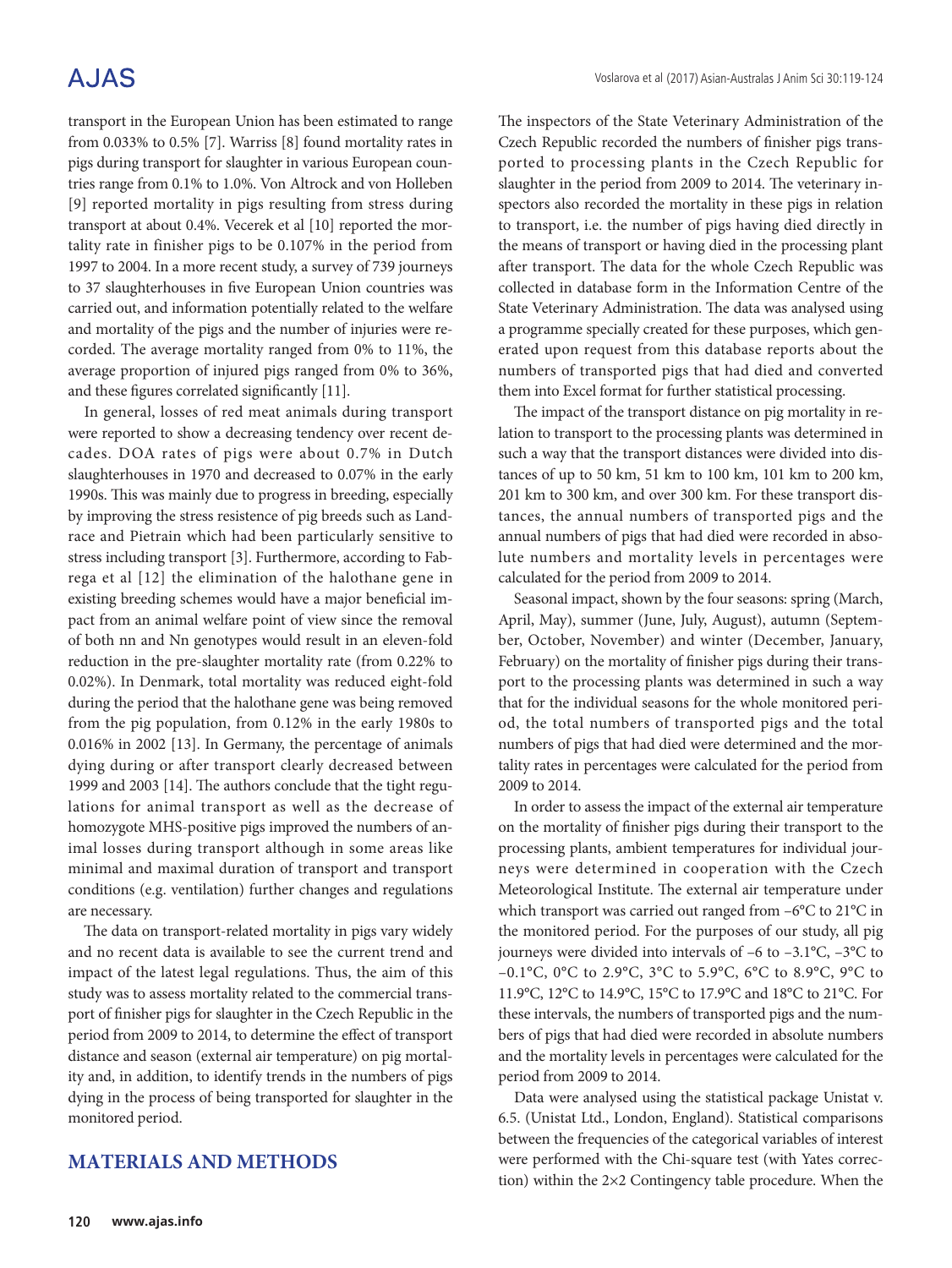## A.JAS

transport in the European Union has been estimated to range from 0.033% to 0.5% [7]. Warriss [8] found mortality rates in pigs during transport for slaughter in various European countries range from 0.1% to 1.0%. Von Altrock and von Holleben [9] reported mortality in pigs resulting from stress during transport at about 0.4%. Vecerek et al [10] reported the mortality rate in finisher pigs to be 0.107% in the period from 1997 to 2004. In a more recent study, a survey of 739 journeys to 37 slaughterhouses in five European Union countries was carried out, and information potentially related to the welfare and mortality of the pigs and the number of injuries were recorded. The average mortality ranged from 0% to 11%, the average proportion of injured pigs ranged from 0% to 36%, and these figures correlated significantly [11].

In general, losses of red meat animals during transport were reported to show a decreasing tendency over recent decades. DOA rates of pigs were about 0.7% in Dutch slaughterhouses in 1970 and decreased to 0.07% in the early 1990s. This was mainly due to progress in breeding, especially by improving the stress resistence of pig breeds such as Landrace and Pietrain which had been particularly sensitive to stress including transport [3]. Furthermore, according to Fabrega et al [12] the elimination of the halothane gene in existing breeding schemes would have a major beneficial impact from an animal welfare point of view since the removal of both nn and Nn genotypes would result in an eleven-fold reduction in the pre-slaughter mortality rate (from 0.22% to 0.02%). In Denmark, total mortality was reduced eight-fold during the period that the halothane gene was being removed from the pig population, from 0.12% in the early 1980s to 0.016% in 2002 [13]. In Germany, the percentage of animals dying during or after transport clearly decreased between 1999 and 2003 [14]. The authors conclude that the tight regulations for animal transport as well as the decrease of homozygote MHS-positive pigs improved the numbers of animal losses during transport although in some areas like minimal and maximal duration of transport and transport conditions (e.g. ventilation) further changes and regulations are necessary.

The data on transport-related mortality in pigs vary widely and no recent data is available to see the current trend and impact of the latest legal regulations. Thus, the aim of this study was to assess mortality related to the commercial transport of finisher pigs for slaughter in the Czech Republic in the period from 2009 to 2014, to determine the effect of transport distance and season (external air temperature) on pig mortality and, in addition, to identify trends in the numbers of pigs dying in the process of being transported for slaughter in the monitored period.

### **MATERIALS AND METHODS**

The inspectors of the State Veterinary Administration of the Czech Republic recorded the numbers of finisher pigs transported to processing plants in the Czech Republic for slaughter in the period from 2009 to 2014. The veterinary inspectors also recorded the mortality in these pigs in relation to transport, i.e. the number of pigs having died directly in the means of transport or having died in the processing plant after transport. The data for the whole Czech Republic was collected in database form in the Information Centre of the State Veterinary Administration. The data was analysed using a programme specially created for these purposes, which generated upon request from this database reports about the numbers of transported pigs that had died and converted them into Excel format for further statistical processing.

The impact of the transport distance on pig mortality in relation to transport to the processing plants was determined in such a way that the transport distances were divided into distances of up to 50 km, 51 km to 100 km, 101 km to 200 km, 201 km to 300 km, and over 300 km. For these transport distances, the annual numbers of transported pigs and the annual numbers of pigs that had died were recorded in absolute numbers and mortality levels in percentages were calculated for the period from 2009 to 2014.

Seasonal impact, shown by the four seasons: spring (March, April, May), summer (June, July, August), autumn (September, October, November) and winter (December, January, February) on the mortality of finisher pigs during their transport to the processing plants was determined in such a way that for the individual seasons for the whole monitored period, the total numbers of transported pigs and the total numbers of pigs that had died were determined and the mortality rates in percentages were calculated for the period from 2009 to 2014.

In order to assess the impact of the external air temperature on the mortality of finisher pigs during their transport to the processing plants, ambient temperatures for individual journeys were determined in cooperation with the Czech Meteorological Institute. The external air temperature under which transport was carried out ranged from –6°C to 21°C in the monitored period. For the purposes of our study, all pig journeys were divided into intervals of –6 to –3.1°C, –3°C to –0.1°C, 0°C to 2.9°C, 3°C to 5.9°C, 6°C to 8.9°C, 9°C to 11.9°C, 12°C to 14.9°C, 15°C to 17.9°C and 18°C to 21°C. For these intervals, the numbers of transported pigs and the numbers of pigs that had died were recorded in absolute numbers and the mortality levels in percentages were calculated for the period from 2009 to 2014.

Data were analysed using the statistical package Unistat v. 6.5. (Unistat Ltd., London, England). Statistical comparisons between the frequencies of the categorical variables of interest were performed with the Chi-square test (with Yates correction) within the 2×2 Contingency table procedure. When the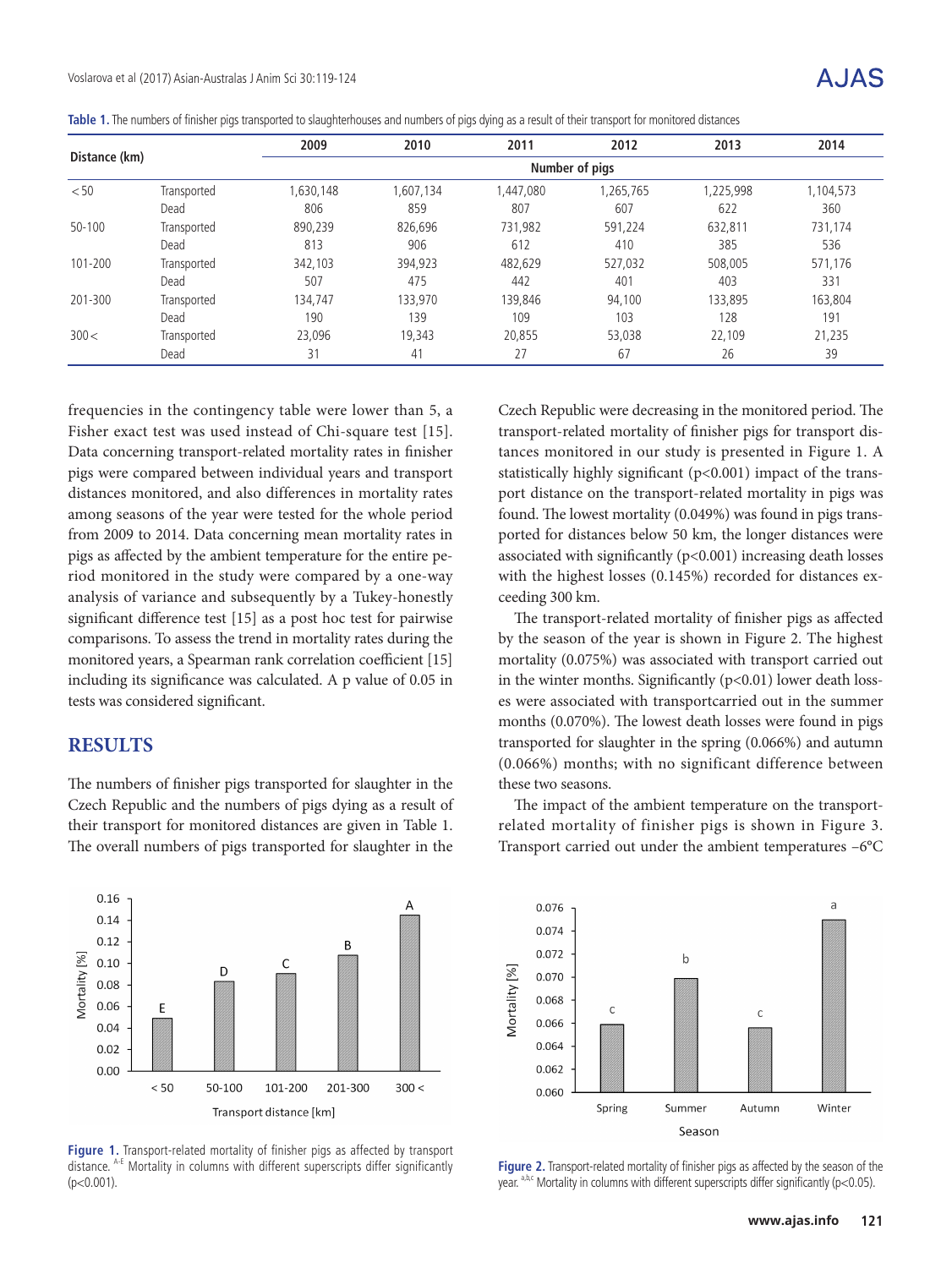|  | Table 1. The numbers of finisher pigs transported to slaughterhouses and numbers of pigs dying as a result of their transport for monitored distances |  |  |
|--|-------------------------------------------------------------------------------------------------------------------------------------------------------|--|--|
|  |                                                                                                                                                       |  |  |

| Distance (km) |             | 2009           | 2010      | 2011     | 2012      | 2013      | 2014      |  |
|---------------|-------------|----------------|-----------|----------|-----------|-----------|-----------|--|
|               |             | Number of pigs |           |          |           |           |           |  |
| < 50          | Transported | 1,630,148      | 1,607,134 | ,447,080 | 1,265,765 | 1,225,998 | 1,104,573 |  |
|               | Dead        | 806            | 859       | 807      | 607       | 622       | 360       |  |
| $50 - 100$    | Transported | 890,239        | 826,696   | 731,982  | 591,224   | 632,811   | 731,174   |  |
|               | Dead        | 813            | 906       | 612      | 410       | 385       | 536       |  |
| 101-200       | Transported | 342,103        | 394,923   | 482,629  | 527,032   | 508,005   | 571,176   |  |
|               | Dead        | 507            | 475       | 442      | 401       | 403       | 331       |  |
| 201-300       | Transported | 134,747        | 133,970   | 139.846  | 94,100    | 133,895   | 163,804   |  |
|               | Dead        | 190            | 139       | 109      | 103       | 128       | 191       |  |
| 300<          | Transported | 23,096         | 19,343    | 20.855   | 53,038    | 22,109    | 21,235    |  |
|               | Dead        | 31             | 41        | 27       | 67        | 26        | 39        |  |

frequencies in the contingency table were lower than 5, a Fisher exact test was used instead of Chi-square test [15]. Data concerning transport-related mortality rates in finisher pigs were compared between individual years and transport distances monitored, and also differences in mortality rates among seasons of the year were tested for the whole period from 2009 to 2014. Data concerning mean mortality rates in pigs as affected by the ambient temperature for the entire period monitored in the study were compared by a one-way analysis of variance and subsequently by a Tukey-honestly significant difference test [15] as a post hoc test for pairwise comparisons. To assess the trend in mortality rates during the monitored years, a Spearman rank correlation coefficient [15] including its significance was calculated. A p value of 0.05 in tests was considered significant.

#### **RESULTS**

The numbers of finisher pigs transported for slaughter in the Czech Republic and the numbers of pigs dying as a result of their transport for monitored distances are given in Table 1. The overall numbers of pigs transported for slaughter in the

Czech Republic were decreasing in the monitored period. The transport-related mortality of finisher pigs for transport distances monitored in our study is presented in Figure 1. A statistically highly significant (p<0.001) impact of the transport distance on the transport-related mortality in pigs was found. The lowest mortality (0.049%) was found in pigs transported for distances below 50 km, the longer distances were associated with significantly (p<0.001) increasing death losses with the highest losses (0.145%) recorded for distances exceeding 300 km.

The transport-related mortality of finisher pigs as affected by the season of the year is shown in Figure 2. The highest mortality (0.075%) was associated with transport carried out in the winter months. Significantly  $(p<0.01)$  lower death losses were associated with transportcarried out in the summer months (0.070%). The lowest death losses were found in pigs transported for slaughter in the spring (0.066%) and autumn (0.066%) months; with no significant difference between these two seasons.

The impact of the ambient temperature on the transportrelated mortality of finisher pigs is shown in Figure 3. Transport carried out under the ambient temperatures –6°C



**Figure 1.** Transport-related mortality of finisher pigs as affected by transport distance. A-E Mortality in columns with different superscripts differ significantly  $(p<0.001)$ .



**Figure 2.** Transport-related mortality of finisher pigs as affected by the season of the year.  $a,b,c$  Mortality in columns with different superscripts differ significantly (p<0.05).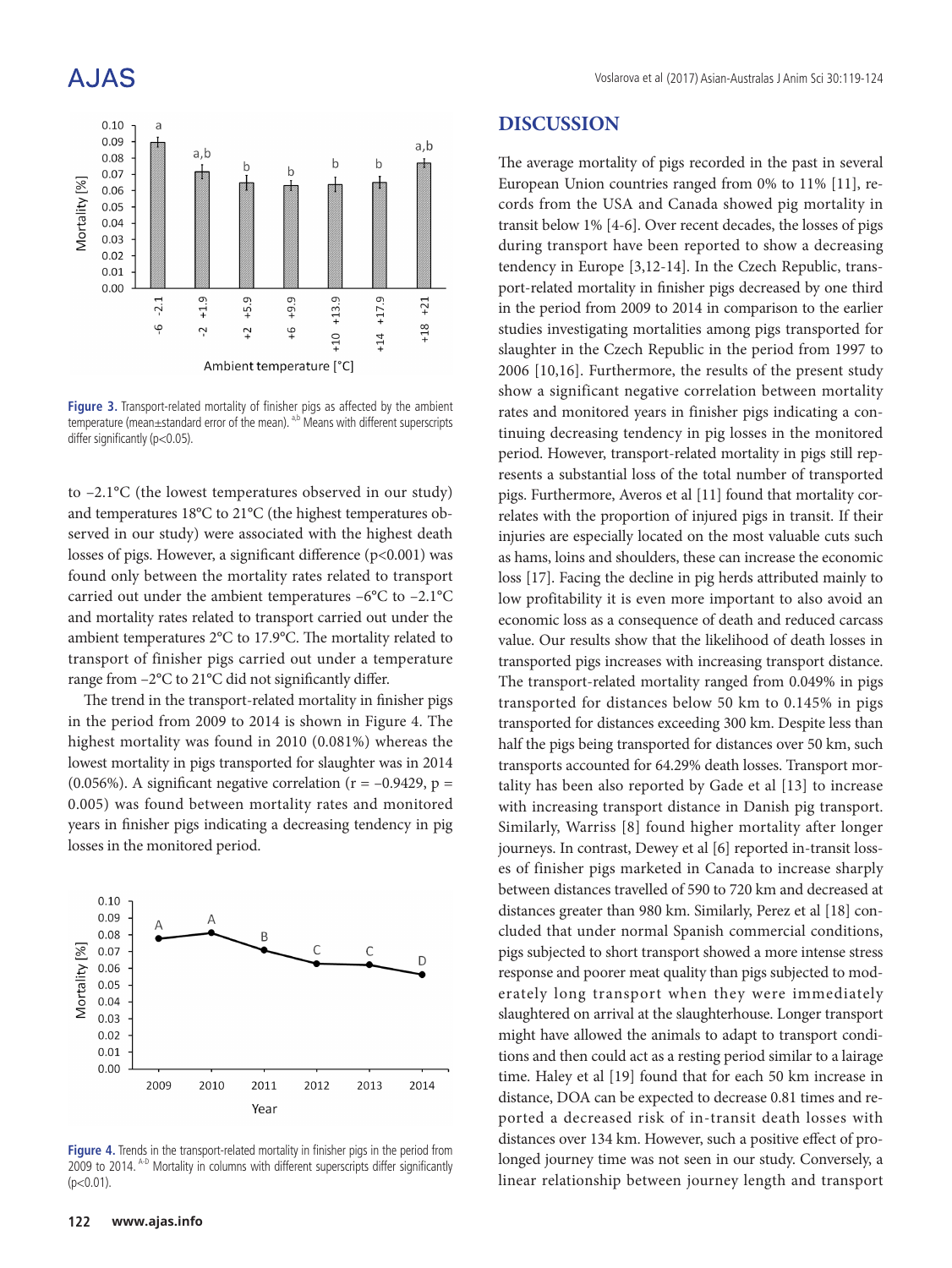## **AJAS**



**Figure 3.** Transport-related mortality of finisher pigs as affected by the ambient temperature (mean $\pm$ standard error of the mean).  $a$ ,b Means with different superscripts differ significantly (p<0.05).

to –2.1°C (the lowest temperatures observed in our study) and temperatures 18°C to 21°C (the highest temperatures observed in our study) were associated with the highest death losses of pigs. However, a significant difference (p<0.001) was found only between the mortality rates related to transport carried out under the ambient temperatures –6°C to –2.1°C and mortality rates related to transport carried out under the ambient temperatures 2°C to 17.9°C. The mortality related to transport of finisher pigs carried out under a temperature range from –2°C to 21°C did not significantly differ.

The trend in the transport-related mortality in finisher pigs in the period from 2009 to 2014 is shown in Figure 4. The highest mortality was found in 2010 (0.081%) whereas the lowest mortality in pigs transported for slaughter was in 2014 (0.056%). A significant negative correlation ( $r = -0.9429$ ,  $p =$ 0.005) was found between mortality rates and monitored years in finisher pigs indicating a decreasing tendency in pig losses in the monitored period.



**Figure 4.** Trends in the transport-related mortality in finisher pigs in the period from 2009 to 2014. A-D Mortality in columns with different superscripts differ significantly  $(p<0.01)$ .

#### **DISCUSSION**

The average mortality of pigs recorded in the past in several European Union countries ranged from 0% to 11% [11], records from the USA and Canada showed pig mortality in transit below 1% [4-6]. Over recent decades, the losses of pigs during transport have been reported to show a decreasing tendency in Europe [3,12-14]. In the Czech Republic, transport-related mortality in finisher pigs decreased by one third in the period from 2009 to 2014 in comparison to the earlier studies investigating mortalities among pigs transported for slaughter in the Czech Republic in the period from 1997 to 2006 [10,16]. Furthermore, the results of the present study show a significant negative correlation between mortality rates and monitored years in finisher pigs indicating a continuing decreasing tendency in pig losses in the monitored period. However, transport-related mortality in pigs still represents a substantial loss of the total number of transported pigs. Furthermore, Averos et al [11] found that mortality correlates with the proportion of injured pigs in transit. If their injuries are especially located on the most valuable cuts such as hams, loins and shoulders, these can increase the economic loss [17]. Facing the decline in pig herds attributed mainly to low profitability it is even more important to also avoid an economic loss as a consequence of death and reduced carcass value. Our results show that the likelihood of death losses in transported pigs increases with increasing transport distance. The transport-related mortality ranged from 0.049% in pigs transported for distances below 50 km to 0.145% in pigs transported for distances exceeding 300 km. Despite less than half the pigs being transported for distances over 50 km, such transports accounted for 64.29% death losses. Transport mortality has been also reported by Gade et al [13] to increase with increasing transport distance in Danish pig transport. Similarly, Warriss [8] found higher mortality after longer journeys. In contrast, Dewey et al [6] reported in-transit losses of finisher pigs marketed in Canada to increase sharply between distances travelled of 590 to 720 km and decreased at distances greater than 980 km. Similarly, Perez et al [18] concluded that under normal Spanish commercial conditions, pigs subjected to short transport showed a more intense stress response and poorer meat quality than pigs subjected to moderately long transport when they were immediately slaughtered on arrival at the slaughterhouse. Longer transport might have allowed the animals to adapt to transport conditions and then could act as a resting period similar to a lairage time. Haley et al [19] found that for each 50 km increase in distance, DOA can be expected to decrease 0.81 times and reported a decreased risk of in-transit death losses with distances over 134 km. However, such a positive effect of prolonged journey time was not seen in our study. Conversely, a linear relationship between journey length and transport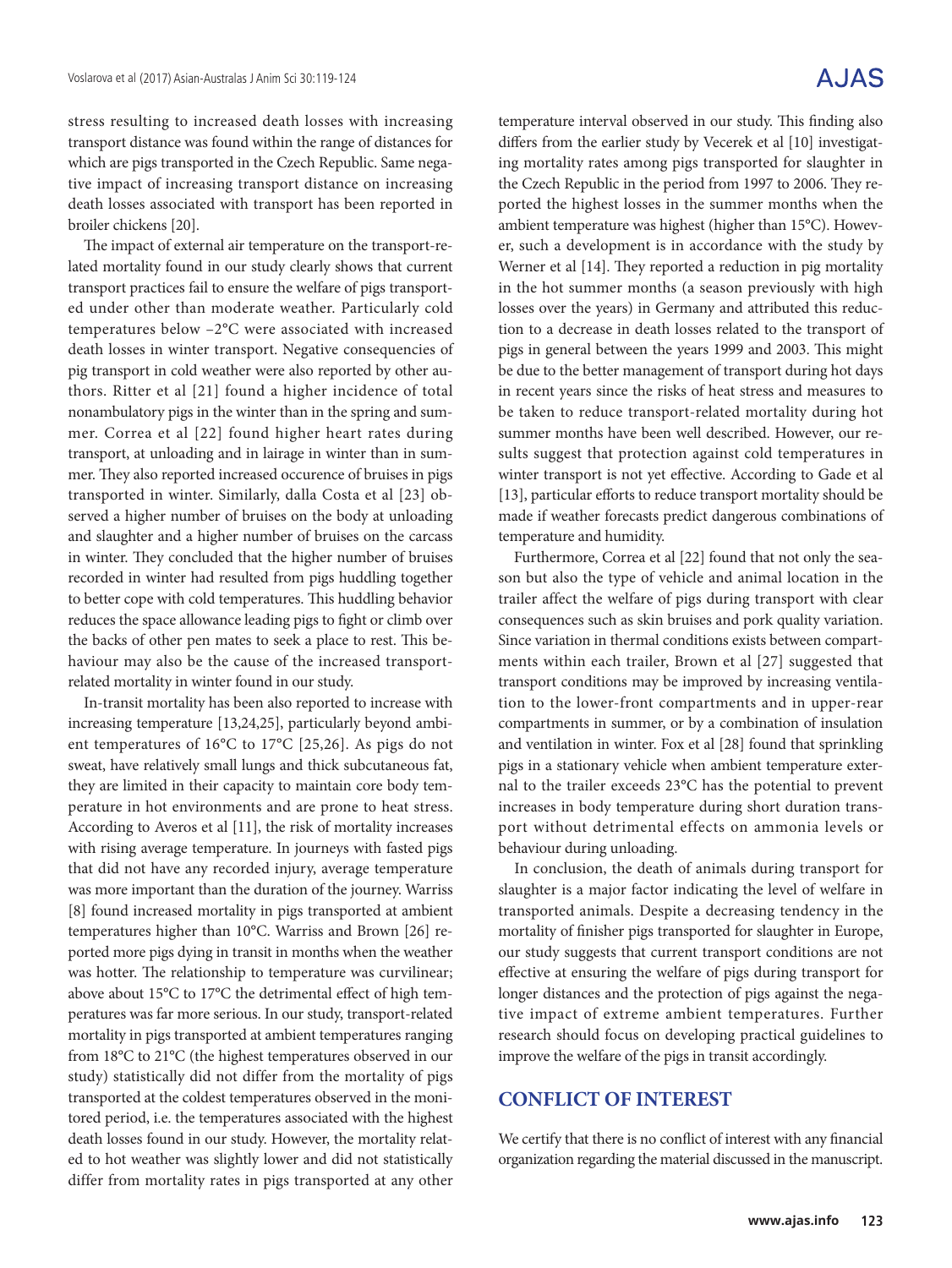stress resulting to increased death losses with increasing transport distance was found within the range of distances for which are pigs transported in the Czech Republic. Same negative impact of increasing transport distance on increasing death losses associated with transport has been reported in broiler chickens [20].

The impact of external air temperature on the transport-related mortality found in our study clearly shows that current transport practices fail to ensure the welfare of pigs transported under other than moderate weather. Particularly cold temperatures below –2°C were associated with increased death losses in winter transport. Negative consequencies of pig transport in cold weather were also reported by other authors. Ritter et al [21] found a higher incidence of total nonambulatory pigs in the winter than in the spring and summer. Correa et al [22] found higher heart rates during transport, at unloading and in lairage in winter than in summer. They also reported increased occurence of bruises in pigs transported in winter. Similarly, dalla Costa et al [23] observed a higher number of bruises on the body at unloading and slaughter and a higher number of bruises on the carcass in winter. They concluded that the higher number of bruises recorded in winter had resulted from pigs huddling together to better cope with cold temperatures. This huddling behavior reduces the space allowance leading pigs to fight or climb over the backs of other pen mates to seek a place to rest. This behaviour may also be the cause of the increased transportrelated mortality in winter found in our study.

In-transit mortality has been also reported to increase with increasing temperature [13,24,25], particularly beyond ambient temperatures of 16°C to 17°C [25,26]. As pigs do not sweat, have relatively small lungs and thick subcutaneous fat, they are limited in their capacity to maintain core body temperature in hot environments and are prone to heat stress. According to Averos et al [11], the risk of mortality increases with rising average temperature. In journeys with fasted pigs that did not have any recorded injury, average temperature was more important than the duration of the journey. Warriss [8] found increased mortality in pigs transported at ambient temperatures higher than 10°C. Warriss and Brown [26] reported more pigs dying in transit in months when the weather was hotter. The relationship to temperature was curvilinear; above about 15°C to 17°C the detrimental effect of high temperatures was far more serious. In our study, transport-related mortality in pigs transported at ambient temperatures ranging from 18°C to 21°C (the highest temperatures observed in our study) statistically did not differ from the mortality of pigs transported at the coldest temperatures observed in the monitored period, i.e. the temperatures associated with the highest death losses found in our study. However, the mortality related to hot weather was slightly lower and did not statistically differ from mortality rates in pigs transported at any other

temperature interval observed in our study. This finding also differs from the earlier study by Vecerek et al [10] investigating mortality rates among pigs transported for slaughter in the Czech Republic in the period from 1997 to 2006. They reported the highest losses in the summer months when the ambient temperature was highest (higher than 15°C). However, such a development is in accordance with the study by Werner et al [14]. They reported a reduction in pig mortality in the hot summer months (a season previously with high losses over the years) in Germany and attributed this reduction to a decrease in death losses related to the transport of pigs in general between the years 1999 and 2003. This might be due to the better management of transport during hot days in recent years since the risks of heat stress and measures to be taken to reduce transport-related mortality during hot summer months have been well described. However, our results suggest that protection against cold temperatures in winter transport is not yet effective. According to Gade et al [13], particular efforts to reduce transport mortality should be made if weather forecasts predict dangerous combinations of temperature and humidity.

Furthermore, Correa et al [22] found that not only the season but also the type of vehicle and animal location in the trailer affect the welfare of pigs during transport with clear consequences such as skin bruises and pork quality variation. Since variation in thermal conditions exists between compartments within each trailer, Brown et al [27] suggested that transport conditions may be improved by increasing ventilation to the lower-front compartments and in upper-rear compartments in summer, or by a combination of insulation and ventilation in winter. Fox et al [28] found that sprinkling pigs in a stationary vehicle when ambient temperature external to the trailer exceeds 23°C has the potential to prevent increases in body temperature during short duration transport without detrimental effects on ammonia levels or behaviour during unloading.

In conclusion, the death of animals during transport for slaughter is a major factor indicating the level of welfare in transported animals. Despite a decreasing tendency in the mortality of finisher pigs transported for slaughter in Europe, our study suggests that current transport conditions are not effective at ensuring the welfare of pigs during transport for longer distances and the protection of pigs against the negative impact of extreme ambient temperatures. Further research should focus on developing practical guidelines to improve the welfare of the pigs in transit accordingly.

### **CONFLICT OF INTEREST**

We certify that there is no conflict of interest with any financial organization regarding the material discussed in the manuscript.